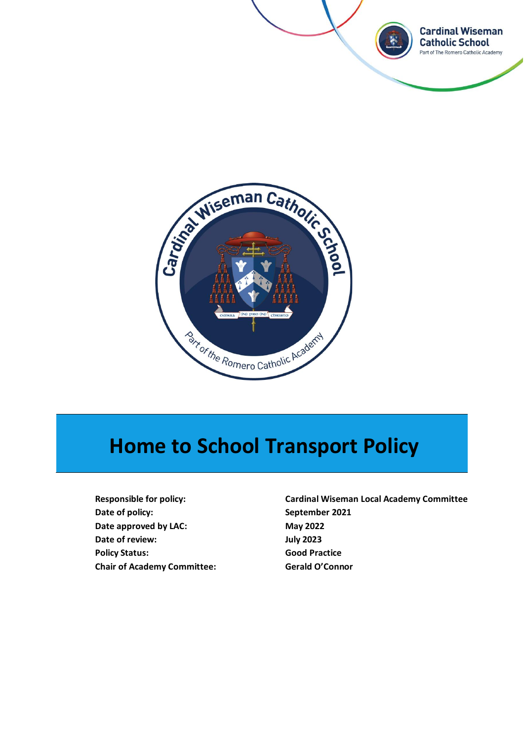



# **Home to School Transport Policy**

**Date of policy: September 2021 Date approved by LAC:** May 2022 **Date of review: July 2023 Policy Status: Good Practice Chair of Academy Committee: Gerald O'Connor**

**Responsible for policy: Cardinal Wiseman Local Academy Committee**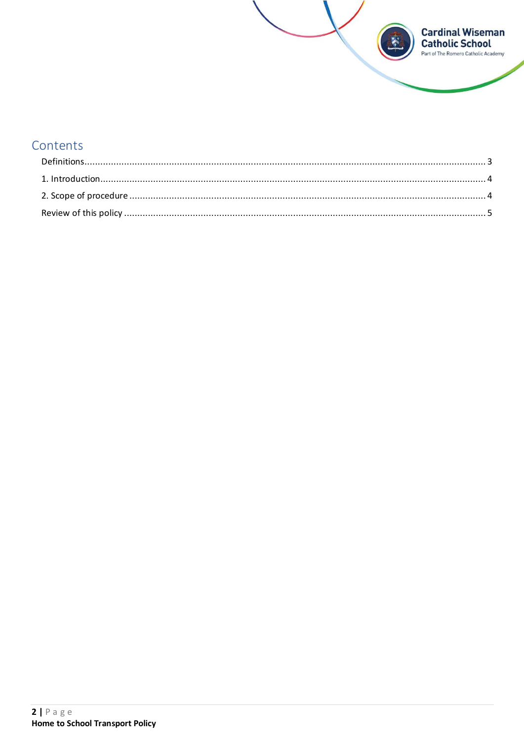

## Contents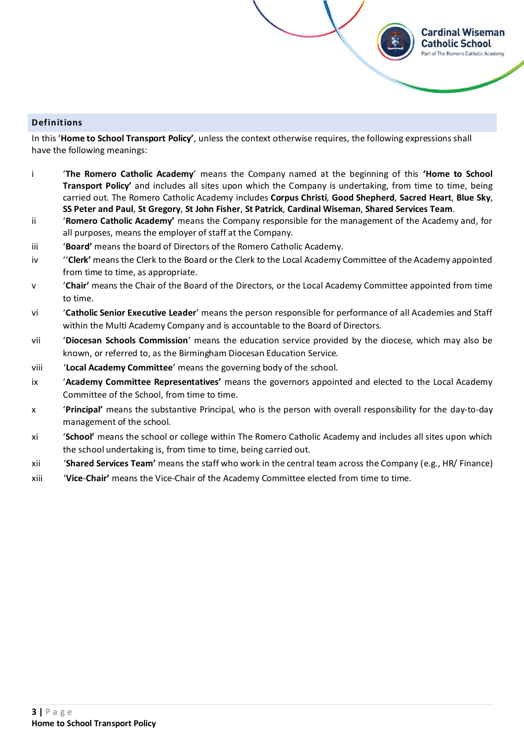#### <span id="page-2-0"></span>**Definitions**

In this '**Home to School Transport Policy'**, unless the context otherwise requires, the following expressions shall have the following meanings:

i '**The Romero Catholic Academy**' means the Company named at the beginning of this **'Home to School Transport Policy'** and includes all sites upon which the Company is undertaking, from time to time, being carried out. The Romero Catholic Academy includes **Corpus Christi**, **Good Shepherd**, **Sacred Heart**, **Blue Sky**, **SS Peter and Paul**, **St Gregory**, **St John Fisher**, **St Patrick**, **Cardinal Wiseman**, **Shared Services Team**.

**Cardinal Wiseman Catholic School** art of The Romero Catholic Academy

- ii '**Romero Catholic Academy'** means the Company responsible for the management of the Academy and, for all purposes, means the employer of staff at the Company.
- iii '**Board'** means the board of Directors of the Romero Catholic Academy.
- iv ''**Clerk'** means the Clerk to the Board or the Clerk to the Local Academy Committee of the Academy appointed from time to time, as appropriate.
- v '**Chair'** means the Chair of the Board of the Directors, or the Local Academy Committee appointed from time to time.
- vi '**Catholic Senior Executive Leader**' means the person responsible for performance of all Academies and Staff within the Multi Academy Company and is accountable to the Board of Directors.
- vii '**Diocesan Schools Commission**' means the education service provided by the diocese, which may also be known, or referred to, as the Birmingham Diocesan Education Service.
- viii '**Local Academy Committee**' means the governing body of the school.
- ix '**Academy Committee Representatives'** means the governors appointed and elected to the Local Academy Committee of the School, from time to time.
- x '**Principal'** means the substantive Principal, who is the person with overall responsibility for the day-to-day management of the school.
- xi '**School'** means the school or college within The Romero Catholic Academy and includes all sites upon which the school undertaking is, from time to time, being carried out.
- xii '**Shared Services Team'** means the staff who work in the central team across the Company (e.g., HR/ Finance)
- xiii '**Vice**-**Chair'** means the Vice-Chair of the Academy Committee elected from time to time.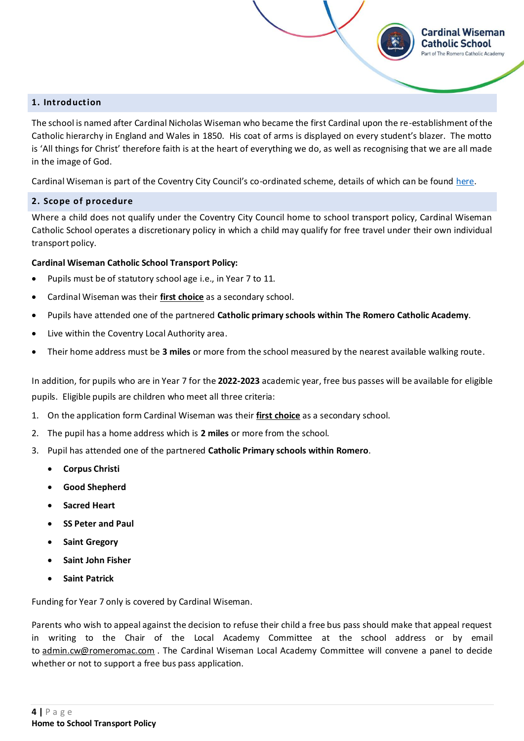#### <span id="page-3-0"></span>**1. Introduction**

The school is named after Cardinal Nicholas Wiseman who became the first Cardinal upon the re-establishment of the Catholic hierarchy in England and Wales in 1850. His coat of arms is displayed on every student's blazer. The motto is 'All things for Christ' therefore faith is at the heart of everything we do, as well as recognising that we are all made in the image of God.

**Cardinal Wiseman Catholic School** Part of The Romero Catholic Academy

Cardinal Wiseman is part of the Coventry City Council's co-ordinated scheme, details of which can be foun[d here.](https://www.coventry.gov.uk/info/61/schools_and_schooling/756/school_travel_passes/2)

#### <span id="page-3-1"></span>**2. Scope of procedure**

Where a child does not qualify under the Coventry City Council home to school transport policy, Cardinal Wiseman Catholic School operates a discretionary policy in which a child may qualify for free travel under their own individual transport policy.

#### **Cardinal Wiseman Catholic School Transport Policy:**

- Pupils must be of statutory school age i.e., in Year 7 to 11.
- Cardinal Wiseman was their **first choice** as a secondary school.
- Pupils have attended one of the partnered **Catholic primary schools within The Romero Catholic Academy**.
- Live within the Coventry Local Authority area.
- Their home address must be **3 miles** or more from the school measured by the nearest available walking route.

In addition, for pupils who are in Year 7 for the **2022-2023** academic year, free bus passes will be available for eligible pupils. Eligible pupils are children who meet all three criteria:

- 1. On the application form Cardinal Wiseman was their **first choice** as a secondary school.
- 2. The pupil has a home address which is **2 miles** or more from the school.
- 3. Pupil has attended one of the partnered **Catholic Primary schools within Romero**.
	- **Corpus Christi**
	- **Good Shepherd**
	- **Sacred Heart**
	- **SS Peter and Paul**
	- **Saint Gregory**
	- **Saint John Fisher**
	- **Saint Patrick**

Funding for Year 7 only is covered by Cardinal Wiseman.

Parents who wish to appeal against the decision to refuse their child a free bus pass should make that appeal request in writing to the Chair of the Local Academy Committee at the school address or by email to [admin.cw@romeromac.com](mailto:admin.cw@romeromac.com) . The Cardinal Wiseman Local Academy Committee will convene a panel to decide whether or not to support a free bus pass application.